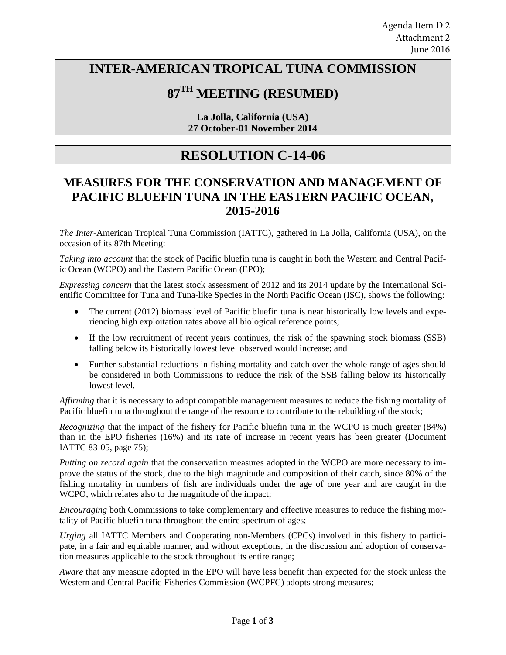### **INTER-AMERICAN TROPICAL TUNA COMMISSION**

# **87TH MEETING (RESUMED)**

**La Jolla, California (USA) 27 October-01 November 2014** 

## **RESOLUTION C-14-06**

#### **MEASURES FOR THE CONSERVATION AND MANAGEMENT OF PACIFIC BLUEFIN TUNA IN THE EASTERN PACIFIC OCEAN, 2015-2016**

*The Inter-*American Tropical Tuna Commission (IATTC), gathered in La Jolla, California (USA), on the occasion of its 87th Meeting:

*Taking into account* that the stock of Pacific bluefin tuna is caught in both the Western and Central Pacific Ocean (WCPO) and the Eastern Pacific Ocean (EPO);

*Expressing concern* that the latest stock assessment of 2012 and its 2014 update by the International Sci-entific Committee for Tuna and Tuna-like Species in the North Pacific Ocean (ISC), shows the following:

- The current (2012) biomass level of Pacific bluefin tuna is near historically low levels and experiencing high exploitation rates above all biological reference points;
- If the low recruitment of recent years continues, the risk of the spawning stock biomass (SSB) falling below its historically lowest level observed would increase; and
- Further substantial reductions in fishing mortality and catch over the whole range of ages should be considered in both Commissions to reduce the risk of the SSB falling below its historically lowest level.

*Affirming* that it is necessary to adopt compatible management measures to reduce the fishing mortality of Pacific bluefin tuna throughout the range of the resource to contribute to the rebuilding of the stock;

*Recognizing* that the impact of the fishery for Pacific bluefin tuna in the WCPO is much greater (84%) than in the EPO fisheries (16%) and its rate of increase in recent years has been greater (Document IATTC 83-05, page 75);

*Putting on record again* that the conservation measures adopted in the WCPO are more necessary to improve the status of the stock, due to the high magnitude and composition of their catch, since 80% of the fishing mortality in numbers of fish are individuals under the age of one year and are caught in the WCPO, which relates also to the magnitude of the impact;

*Encouraging* both Commissions to take complementary and effective measures to reduce the fishing mortality of Pacific bluefin tuna throughout the entire spectrum of ages;

*Urging* all IATTC Members and Cooperating non-Members (CPCs) involved in this fishery to participate, in a fair and equitable manner, and without exceptions, in the discussion and adoption of conservation measures applicable to the stock throughout its entire range;

*Aware* that any measure adopted in the EPO will have less benefit than expected for the stock unless the Western and Central Pacific Fisheries Commission (WCPFC) adopts strong measures;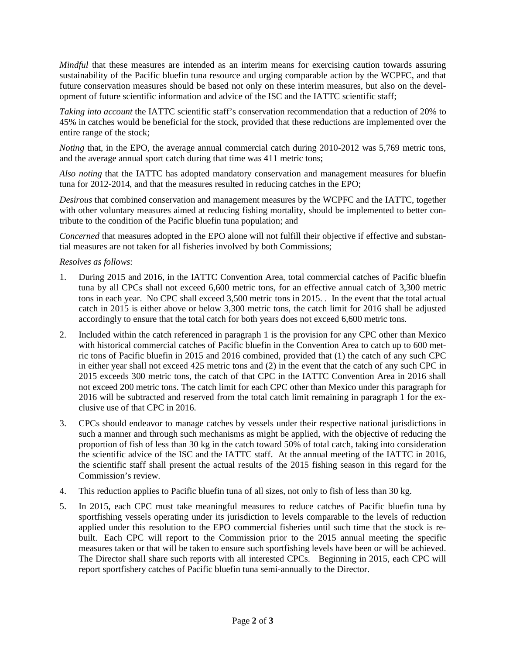*Mindful* that these measures are intended as an interim means for exercising caution towards assuring sustainability of the Pacific bluefin tuna resource and urging comparable action by the WCPFC, and that future conservation measures should be based not only on these interim measures, but also on the development of future scientific information and advice of the ISC and the IATTC scientific staff;

*Taking into account* the IATTC scientific staff's conservation recommendation that a reduction of 20% to 45% in catches would be beneficial for the stock, provided that these reductions are implemented over the entire range of the stock;

*Noting* that, in the EPO, the average annual commercial catch during 2010-2012 was 5,769 metric tons, and the average annual sport catch during that time was 411 metric tons;

*Also noting* that the IATTC has adopted mandatory conservation and management measures for bluefin tuna for 2012-2014, and that the measures resulted in reducing catches in the EPO;

*Desirous* that combined conservation and management measures by the WCPFC and the IATTC, together with other voluntary measures aimed at reducing fishing mortality, should be implemented to better contribute to the condition of the Pacific bluefin tuna population; and

*Concerned* that measures adopted in the EPO alone will not fulfill their objective if effective and substantial measures are not taken for all fisheries involved by both Commissions;

#### *Resolves as follows*:

- 1. During 2015 and 2016, in the IATTC Convention Area, total commercial catches of Pacific bluefin tuna by all CPCs shall not exceed 6,600 metric tons, for an effective annual catch of 3,300 metric tons in each year. No CPC shall exceed 3,500 metric tons in 2015. . In the event that the total actual catch in 2015 is either above or below 3,300 metric tons, the catch limit for 2016 shall be adjusted accordingly to ensure that the total catch for both years does not exceed 6,600 metric tons.
- 2. Included within the catch referenced in paragraph 1 is the provision for any CPC other than Mexico with historical commercial catches of Pacific bluefin in the Convention Area to catch up to 600 metric tons of Pacific bluefin in 2015 and 2016 combined, provided that (1) the catch of any such CPC in either year shall not exceed 425 metric tons and (2) in the event that the catch of any such CPC in 2015 exceeds 300 metric tons, the catch of that CPC in the IATTC Convention Area in 2016 shall not exceed 200 metric tons. The catch limit for each CPC other than Mexico under this paragraph for 2016 will be subtracted and reserved from the total catch limit remaining in paragraph 1 for the exclusive use of that CPC in 2016.
- 3. CPCs should endeavor to manage catches by vessels under their respective national jurisdictions in such a manner and through such mechanisms as might be applied, with the objective of reducing the proportion of fish of less than 30 kg in the catch toward 50% of total catch, taking into consideration the scientific advice of the ISC and the IATTC staff. At the annual meeting of the IATTC in 2016, the scientific staff shall present the actual results of the 2015 fishing season in this regard for the Commission's review.
- 4. This reduction applies to Pacific bluefin tuna of all sizes, not only to fish of less than 30 kg.
- 5. In 2015, each CPC must take meaningful measures to reduce catches of Pacific bluefin tuna by sportfishing vessels operating under its jurisdiction to levels comparable to the levels of reduction applied under this resolution to the EPO commercial fisheries until such time that the stock is rebuilt. Each CPC will report to the Commission prior to the 2015 annual meeting the specific measures taken or that will be taken to ensure such sportfishing levels have been or will be achieved. The Director shall share such reports with all interested CPCs. Beginning in 2015, each CPC will report sportfishery catches of Pacific bluefin tuna semi-annually to the Director.